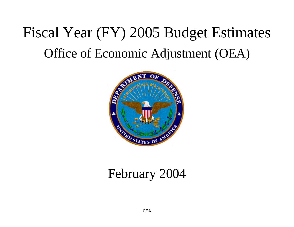# Fiscal Year (FY) 2005 Budget Estimates Office of Economic Adjustment (OEA)



# February 2004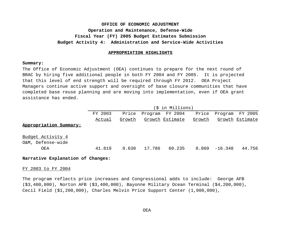#### **APPROPRIATION HIGHLIGHTS**

#### **Summary:**

The Office of Economic Adjustment (OEA) continues to prepare for the next round of BRAC by hiring five additional people in both FY 2004 and FY 2005. It is projected that this level of end strength will be required through FY 2012. OEA Project Managers continue active support and oversight of base closure communities that have completed base reuse planning and are moving into implementation, even if OEA grant assistance has ended.

|                          |         |        |        | (\$ in Millions) |        |                  |                 |
|--------------------------|---------|--------|--------|------------------|--------|------------------|-----------------|
|                          | FY 2003 | Price  |        | Program FY 2004  | Price  | Program FY 2005  |                 |
|                          | Actual  | Growth |        | Growth Estimate  | Growth |                  | Growth Estimate |
| Appropriation Summary:   |         |        |        |                  |        |                  |                 |
|                          |         |        |        |                  |        |                  |                 |
| <u>Budget Activity 4</u> |         |        |        |                  |        |                  |                 |
| O&M, Defense-wide        |         |        |        |                  |        |                  |                 |
| OEA                      | 41.819  | 0.630  | 17.786 | 60.235           |        | $0.869 - 16.348$ | 44.756          |
|                          |         |        |        |                  |        |                  |                 |

#### **Narrative Explanation of Changes:**

#### FY 2003 to FY 2004

The program reflects price increases and Congressional adds to include: George AFB (\$3,400,000), Norton AFB (\$3,400,000), Bayonne Military Ocean Terminal (\$4,200,000), Cecil Field (\$1,200,000), Charles Melvin Price Support Center (1,000,000),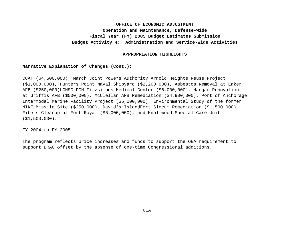#### **APPROPRIATION HIGHLIGHTS**

#### **Narrative Explanation of Changes (Cont.):**

CCAT (\$4,500,000), March Joint Powers Authority Arnold Heights Reuse Project (\$1,000,000), Hunters Point Naval Shipyard (\$2,200,000), Asbestos Removal at Eaker AFB (\$250,000)UCHSC DCH Fitzsimons Medical Center (\$6,000,000), Hangar Renovation at Griffis AFB (\$500,000), McClellan AFB Remediation (\$4,900,000), Port of Anchorage Intermodal Marine Facility Project (\$5,000,000), Environmental Study of the former NIKE Missile Site (\$250,000), David's IslandFort Slocum Remediation (\$1,500,000), Fibers Cleanup at Fort Royal (\$6,000,000), and Knollwood Special Care Unit (\$1,500,000).

#### FY 2004 to FY 2005

The program reflects price increases and funds to support the OEA requirement to support BRAC offset by the absense of one-time Congressional additions.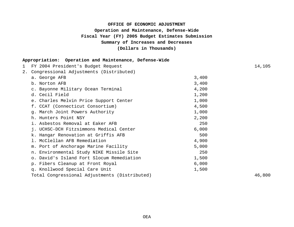# **(Dollars in Thousands) OFFICE OF ECONOMIC ADJUSTMENT Operation and Maintenance, Defense-Wide Fiscal Year (FY) 2005 Budget Estimates Submission Summary of Increases and Decreases**

| Appropriation: Operation and Maintenance, Defense-Wide |       |        |
|--------------------------------------------------------|-------|--------|
| FY 2004 President's Budget Request<br>1                |       | 14,105 |
| Congressional Adjustments (Distributed)<br>2.          |       |        |
| a. George AFB                                          | 3,400 |        |
| b. Norton AFB                                          | 3,400 |        |
| c. Bayonne Military Ocean Terminal                     | 4,200 |        |
| d. Cecil Field                                         | 1,200 |        |
| e. Charles Melvin Price Support Center                 | 1,000 |        |
| f. CCAT (Connecticut Consortium)                       | 4,500 |        |
| g. March Joint Powers Authority                        | 1,000 |        |
| h. Hunters Point NSY                                   | 2,200 |        |
| i. Asbestos Removal at Eaker AFB                       | 250   |        |
| j. UCHSC-DCH Fitzsimmons Medical Center                | 6,000 |        |
| k. Hangar Renovation at Griffis AFB                    | 500   |        |
| 1. McClellan AFB Remediation                           | 4,900 |        |
| m. Port of Anchorage Marine Facility                   | 5,000 |        |
| n. Environmental Study NIKE Missile Site               | 250   |        |
| o. David's Island Fort Slocum Remediation              | 1,500 |        |
| p. Fibers Cleanup at Front Royal                       | 6,000 |        |
| q. Knollwood Special Care Unit                         | 1,500 |        |
| Total Congressional Adjustments (Distributed)          |       | 46,800 |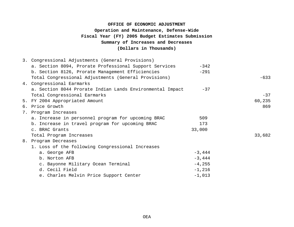# **Summary of Increases and Decreases (Dollars in Thousands) OFFICE OF ECONOMIC ADJUSTMENT Operation and Maintenance, Defense-Wide Fiscal Year (FY) 2005 Budget Estimates Submission**

|    | 3. Congressional Adjustments (General Provisions)         |           |        |
|----|-----------------------------------------------------------|-----------|--------|
|    | a. Section 8094, Prorate Professional Support Services    | $-342$    |        |
|    | b. Section 8126, Prorate Management Efficiencies          | $-291$    |        |
|    | Total Congressional Adjustments (General Provisions)      |           | $-633$ |
|    | 4. Congressional Earmarks                                 |           |        |
|    | a. Section 8044 Prorate Indian Lands Environmental Impact | $-37$     |        |
|    | Total Congressional Earmarks                              |           | $-37$  |
|    | 5. FY 2004 Appropriated Amount                            |           | 60,235 |
|    | 6. Price Growth                                           |           | 869    |
| 7. | Program Increases                                         |           |        |
|    | a. Increase in personnel program for upcoming BRAC        | 509       |        |
|    | b. Increase in travel program for upcoming BRAC           | 173       |        |
|    | c. BRAC Grants                                            | 33,000    |        |
|    | Total Program Increases                                   |           | 33,682 |
|    | 8. Program Decreases                                      |           |        |
|    | 1. Loss of the following Congressional Increases          |           |        |
|    | a. George AFB                                             | $-3,444$  |        |
|    | b. Norton AFB                                             | $-3,444$  |        |
|    | c. Bayonne Military Ocean Terminal                        | $-4, 255$ |        |
|    | d. Cecil Field                                            | $-1,216$  |        |
|    | e. Charles Melvin Price Support Center                    | $-1,013$  |        |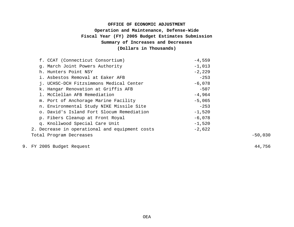# **Fiscal Year (FY) 2005 Budget Estimates Submission Summary of Increases and Decreases (Dollars in Thousands) OFFICE OF ECONOMIC ADJUSTMENT Operation and Maintenance, Defense-Wide**

| f. CCAT (Connecticut Consortium)               | $-4,559$ |           |
|------------------------------------------------|----------|-----------|
| g. March Joint Powers Authority                | $-1,013$ |           |
| h. Hunters Point NSY                           | $-2,229$ |           |
| i. Asbestos Removal at Eaker AFB               | $-253$   |           |
| j. UCHSC-DCH Fitzsimmons Medical Center        | $-6,078$ |           |
| k. Hangar Renovation at Griffis AFB            | $-507$   |           |
| 1. McClellan AFB Remediation                   | $-4,964$ |           |
| m. Port of Anchorage Marine Facility           | $-5,065$ |           |
| n. Environmental Study NIKE Missile Site       | $-253$   |           |
| o. David's Island Fort Slocum Remediation      | $-1,520$ |           |
| p. Fibers Cleanup at Front Royal               | $-6,078$ |           |
| q. Knollwood Special Care Unit                 | $-1,520$ |           |
| 2. Decrease in operational and equipment costs | $-2,622$ |           |
| Total Program Decreases                        |          | $-50,030$ |

9. FY 2005 Budget Request 44,756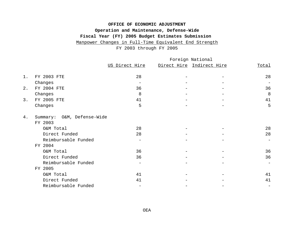# **OFFICE OF ECONOMIC ADJUSTMENT Operation and Maintenance, Defense-Wide Fiscal Year (FY) 2005 Budget Estimates Submission**  Manpower Changes in Full-Time Equivalent End Strength

FY 2003 through FY 2005

|                     | Foreign National |                   |  |                           |
|---------------------|------------------|-------------------|--|---------------------------|
|                     | US Direct Hire   |                   |  | <b>Total</b>              |
| FY 2003 FTE         | 28               |                   |  | 28                        |
| Changes             |                  |                   |  | $\overline{\phantom{0}}$  |
| FY 2004 FTE         | 36               |                   |  | 36                        |
| Changes             | 8                |                   |  | 8                         |
| FY 2005 FTE         | 41               |                   |  | 41                        |
| Changes             | 5                |                   |  | 5                         |
| Summary:            |                  |                   |  |                           |
| FY 2003             |                  |                   |  |                           |
| O&M Total           | 28               |                   |  | 28                        |
| Direct Funded       | 28               |                   |  | 28                        |
| Reimbursable Funded |                  |                   |  | $\qquad \qquad -$         |
| FY 2004             |                  |                   |  |                           |
| O&M Total           | 36               |                   |  | 36                        |
| Direct Funded       | 36               |                   |  | 36                        |
| Reimbursable Funded |                  |                   |  | $\qquad \qquad -$         |
| FY 2005             |                  |                   |  |                           |
| O&M Total           | 41               |                   |  | 41                        |
| Direct Funded       | 41               |                   |  | 41                        |
| Reimbursable Funded |                  |                   |  |                           |
|                     |                  | O&M, Defense-Wide |  | Direct Hire Indirect Hire |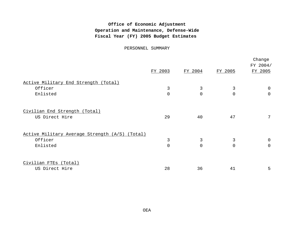# **Office of Economic Adjustment Operation and Maintenance, Defense-Wide Fiscal Year (FY) 2005 Budget Estimates**

PERSONNEL SUMMARY

|                                                |                |                |                | Change<br>FY 2004/ |
|------------------------------------------------|----------------|----------------|----------------|--------------------|
|                                                | FY 2003        | FY 2004        | FY 2005        | FY 2005            |
| Active Military End Strength (Total)           |                |                |                |                    |
| Officer                                        | 3              | 3              | 3              | 0                  |
| Enlisted                                       | $\mathbf 0$    | $\overline{0}$ | $\overline{0}$ | $\mathbf 0$        |
| Civilian End Strength (Total)                  |                |                |                |                    |
| US Direct Hire                                 | 29             | 40             | 47             | $7\overline{ }$    |
| Active Military Average Strength (A/S) (Total) |                |                |                |                    |
| Officer                                        | 3              | 3              | 3              | $\mathbf 0$        |
| Enlisted                                       | $\overline{0}$ | $\overline{0}$ | $\overline{0}$ | $\overline{0}$     |
| Civilian FTEs (Total)                          |                |                |                |                    |
| US Direct Hire                                 | 28             | 36             | 41             | 5                  |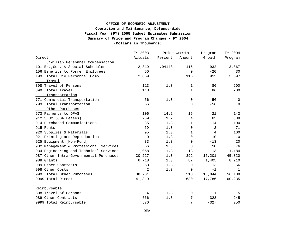#### **Fiscal Year (FY) 2005 Budget Estimates Submission OFFICE OF ECONOMIC ADJUSTMENT Operation and Maintenance, Defense-Wide Summary of Price and Program Changes - FY 2004 (Dollars in Thousands)**

|                                        | FY 2003     |         | Price Growth | Program | FY 2004 |
|----------------------------------------|-------------|---------|--------------|---------|---------|
| Direct                                 | Actuals     | Percent | Amount       | Growth  | Program |
| Civilian Personnel Compensation        |             |         |              |         |         |
| 101 Ex., Gen. & Special Schedules      | 2,819       | .04148  | 116          | 932     | 3,867   |
| 106 Benefits to Former Employees       | 50          |         | $\mathbf 0$  | $-20$   | 30      |
| Total Civ Personnel Comp<br>199        | 2,869       |         | 116          | 912     | 3,897   |
| Travel                                 |             |         |              |         |         |
| 308 Travel of Persons                  | 113         | 1.3     | $\mathbf{1}$ | 86      | 200     |
| Total Travel<br>399                    | 113         |         | $\mathbf{1}$ | 86      | 200     |
| Transportation                         |             |         |              |         |         |
| 771 Commercial Transportation          | 56          | 1.3     | 0            | $-56$   | 0       |
| Total Transportation<br>799            | 56          |         | $\mathbf 0$  | $-56$   | 0       |
| Other Purchases                        |             |         |              |         |         |
| 673 Payments to DFAS                   | 106         | 14.2    | 15           | 21      | 142     |
| 912 SLUC (GSA Leases)                  | 269         | 1.7     | 4            | 65      | 338     |
| 914 Purchased Communications           | 85          | 1.3     | $\mathbf{1}$ | 14      | 100     |
| 915 Rents                              | 69          | 1.3     | $\mathbf 0$  | 2       | 71      |
| 920 Supplies & Materials               | 95          | 1.3     | $\mathbf{1}$ | 4       | 100     |
| 921 Printing and Reproduction          | $\mathbf 0$ | 1.3     | 0            | 10      | 10      |
| 925 Equipment (Non-Fund)               | 33          | 1.3     | 0            | $-13$   | 20      |
| 932 Management & Professional Services | 66          | 1.3     | $\Omega$     | 10      | 76      |
| 934 Engineering and Technical Services | 1,058       | 1.3     | 13           | 113     | 1,184   |
| 987 Other Intra-Governmental Purchases | 30,227      | 1.3     | 392          | 15,201  | 45,820  |
| 988 Grants                             | 6,718       | 1.3     | 87           | 1,405   | 8,210   |
| 989 Other Contracts                    | 53          | 1.3     | $\mathbf 0$  | 13      | 66      |
| 998 Other Costs                        | 2           | 1.3     | $\mathbf 0$  | $-1$    | 1       |
| Total Other Purchases<br>999           | 38,781      |         | 513          | 16,844  | 56,138  |
| 9999 Total Direct                      | 41,819      |         | 630          | 17,786  | 60,235  |
| Reimbursable                           |             |         |              |         |         |
| 308 Travel of Persons                  | 4           | 1.3     | 0            | 1       | 5       |
| 989 Other Contracts                    | 566         | 1.3     | 7            | $-328$  | 245     |
| 9999 Total Reimbursable                | 570         |         | 7            | $-327$  | 250     |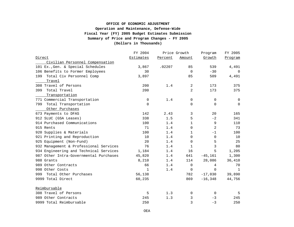#### **Fiscal Year (FY) 2005 Budget Estimates Submission OFFICE OF ECONOMIC ADJUSTMENT Operation and Maintenance, Defense-Wide Summary of Price and Program Changes - FY 2005 (Dollars in Thousands)**

|                                        | FY 2004          |         | Price Growth   | Program        | FY 2005     |
|----------------------------------------|------------------|---------|----------------|----------------|-------------|
| Direct                                 | <b>Estimates</b> | Percent | Amount         | Growth         | Program     |
| Civilian Personnel Compensation        |                  |         |                |                |             |
| 101 Ex., Gen. & Special Schedules      | 3,867            | .02207  | 85             | 539            | 4,491       |
| 106 Benefits to Former Employees       | 30               |         | $\mathbf 0$    | $-30$          | 0           |
| Total Civ Personnel Comp<br>199        | 3,897            |         | 85             | 509            | 4,491       |
| Travel                                 |                  |         |                |                |             |
| 308 Travel of Persons                  | 200              | 1.4     | 2              | 173            | 375         |
| Total Travel<br>399                    | 200              |         | $\overline{a}$ | 173            | 375         |
| Transportation                         |                  |         |                |                |             |
| 771 Commercial Transportation          | 0                | 1.4     | 0              | 0              | $\mathbf 0$ |
| Total Transportation<br>799            | $\mathbf 0$      |         | $\mathbf 0$    | $\mathbf 0$    | $\mathbf 0$ |
| Other Purchases                        |                  |         |                |                |             |
| 673 Payments to DFAS                   | 142              | 2.43    | 3              | 20             | 165         |
| 912 SLUC (GSA Leases)                  | 338              | 1.5     | 5              | $-2$           | 341         |
| 914 Purchased Communications           | 100              | 1.4     | $\mathbf 1$    | 9              | 110         |
| 915 Rents                              | 71               | 1.4     | $\mathbf 0$    | 2              | 73          |
| 920 Supplies & Materials               | 100              | 1.4     | 1              | $-1$           | 100         |
| 921 Printing and Reproduction          | 10               | 1.4     | $\mathbf 0$    | $\mathbf 0$    | 10          |
| 925 Equipment (Non-Fund)               | 20               | 1.4     | $\mathbf 0$    | 5              | 25          |
| 932 Management & Professional Services | 76               | 1.4     | 1              | 3              | 80          |
| 934 Engineering and Technical Services | 1,184            | 1.4     | 16             | 5              | 1,205       |
| 987 Other Intra-Governmental Purchases | 45,820           | 1.4     | 641            | $-45,161$      | 1,300       |
| 988 Grants                             | 8,210            | 1.4     | 114            | 28,086         | 36,410      |
| 989 Other Contracts                    | 66               | 1.4     | $\mathbf 0$    | $\overline{4}$ | 70          |
| 998 Other Costs                        | $\mathbf{1}$     | 1.4     | 0              | $\Omega$       | 1           |
| Total Other Purchases<br>999           | 56,138           |         | 782            | $-17,030$      | 39,890      |
| 9999 Total Direct                      | 60,235           |         | 869            | $-16,348$      | 44,756      |
| Reimbursable                           |                  |         |                |                |             |
| 308 Travel of Persons                  | 5                | 1.3     | 0              | 0              | -5          |
| 989 Other Contracts                    | 245              | 1.3     | 3              | $-3$           | 245         |
| 9999 Total Reimbursable                | 250              |         | 3              | $-3$           | 250         |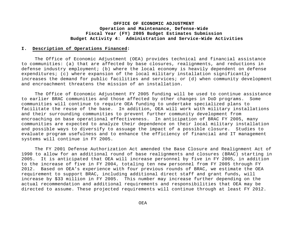#### **I. Description of Operations Financed:**

The Office of Economic Adjustment (OEA) provides technical and financial assistance to communities: (a) that are affected by base closures, realignments, and reductions in defense industry employment; (b) where the local economy is heavily dependent on defense expenditures; (c) where expansion of the local military installation significantly increases the demand for public facilities and services; or (d) when community development and encroachment threatens the mission of an installation.

The Office of Economic Adjustment FY 2005 funding will be used to continue assistance to earlier BRAC communities and those affected by other changes in DoD programs. Some communities will continue to require OEA funding to undertake specialized plans to facilitate the reuse of the base. In addition, OEA will work with military installations and their surrounding communities to prevent further community development from encroaching on base operational effectiveness. In anticipation of BRAC FY 2005, many communities are expected to analyze their dependence on their local military installation and possible ways to diversify to assuage the impact of a possible closure. Studies to evaluate program usefulness and to enhance the efficiency of financial and IT management systems will continue in FY 2005.

The FY 2001 Defense Authorization Act amended the Base Closure and Realignment Act of 1990 to allow for an additional round of base realignments and closures (BRAC) starting in 2005. It is anticipated that OEA will increase personnel by five in FY 2005, in addition to the increase of five in FY 2004, totaling ten new personnel from FY 2005 through FY 2012. Based on OEA's experience with four previous rounds of BRAC, we estimate the OEA requirement to support BRAC, including additional direct staff and grant funds, will increase by \$33 million in FY 2005. This number may increase further depending on the actual recommendation and additional requirements and responsibilities that OEA may be directed to assume. These projected requirements will continue through at least FY 2012.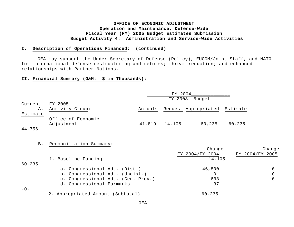#### **I. Description of Operations Financed: (continued)**

 OEA may support the Under Secretary of Defense (Policy), EUCOM/Joint Staff, and NATO for international defense restructuring and reforms; threat reduction; and enhanced relationships with Partner Nations.

#### **II. Financial Summary (O&M: \$ in Thousands):**

|          |                                    |         | FY 2004 |                      |                 |  |
|----------|------------------------------------|---------|---------|----------------------|-----------------|--|
|          |                                    |         | FY 2003 | Budget               |                 |  |
| Current  | FY 2005                            |         |         |                      |                 |  |
| Α.       | Activity Group:                    | Actuals |         | Request Appropriated | Estimate        |  |
| Estimate |                                    |         |         |                      |                 |  |
|          | Office of Economic                 |         |         |                      |                 |  |
|          | Adjustment                         | 41,819  | 14,105  | 60,235               | 60,235          |  |
| 44,756   |                                    |         |         |                      |                 |  |
|          |                                    |         |         |                      |                 |  |
|          |                                    |         |         |                      |                 |  |
| B.       | Reconciliation Summary:            |         |         |                      |                 |  |
|          |                                    |         |         | Change               | Change          |  |
|          |                                    |         |         | FY 2004/FY 2004      | FY 2004/FY 2005 |  |
|          | 1. Baseline Funding                |         |         | 14,105               |                 |  |
| 60,235   |                                    |         |         |                      |                 |  |
|          | a. Congressional Adj. (Dist.)      |         |         | 46,800               | $-0-$           |  |
|          | b. Congressional Adj. (Undist.)    |         |         | $-0-$                | $-0-$           |  |
|          | c. Congressional Adj. (Gen. Prov.) |         |         | $-633$               | $-0-$           |  |
|          | d. Congressional Earmarks          |         |         | $-37$                |                 |  |
| $-0-$    |                                    |         |         |                      |                 |  |
|          | 2. Appropriated Amount (Subtotal)  |         |         | 60,235               |                 |  |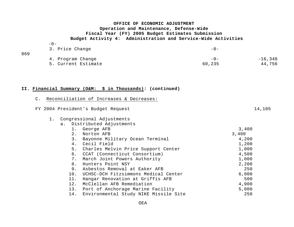| $\overline{\phantom{a}}$ |
|--------------------------|
|--------------------------|

869

|     | 3. Price Change     | $-1$   |           |
|-----|---------------------|--------|-----------|
| 869 | 4. Program Change   | $-0-$  | $-16,348$ |
|     | 5. Current Estimate | 60,235 | 44,756    |

**II. Financial Summary (O&M: \$ in Thousands): (continued)**

| FY 2004 President's Budget Request           | 14,105 |
|----------------------------------------------|--------|
| Congressional Adjustments                    |        |
| Distributed Adjustments<br>a.                |        |
| 1. George AFB                                | 3,400  |
| Norton AFB<br>2.                             | 3,400  |
| 3.<br>Bayonne Military Ocean Terminal        | 4,200  |
| 4. Cecil Field                               | 1,200  |
| 5. Charles Melvin Price Support Center       | 1,000  |
| 6. CCAT (Connecticut Consortium)             | 4,500  |
| March Joint Powers Authority<br>7.           | 1,000  |
| Hunters Point NSY<br>8.                      | 2,200  |
| 9.<br>Asbestos Removal at Eaker AFB          | 250    |
| UCHSC-DCH Fitzsimmons Medical Center<br>10.  | 6,000  |
| Hangar Renovation at Griffis AFB<br>11.      | 500    |
| 12.<br>McClellan AFB Remediation             | 4,900  |
| 13.<br>Port of Anchorage Marine Facility     | 5,000  |
| 14.<br>Environmental Study NIKE Missile Site | 250    |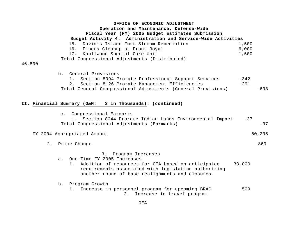| OFFICE OF ECONOMIC ADJUSTMENT<br>Operation and Maintenance, Defense-Wide<br>Fiscal Year (FY) 2005 Budget Estimates Submission<br>Budget Activity 4: Administration and Service-Wide Activities                                         |                            |  |
|----------------------------------------------------------------------------------------------------------------------------------------------------------------------------------------------------------------------------------------|----------------------------|--|
| 15. David's Island Fort Slocum Remediation<br>16. Fibers Cleanup at Front Royal<br>Knollwood Special Care Unit<br>17.                                                                                                                  | 1,500<br>6,000<br>1,500    |  |
| Total Congressional Adjustments (Distributed)<br>46,800                                                                                                                                                                                |                            |  |
| b. General Provisions<br>1. Section 8094 Prorate Professional Support Services<br>2. Section 8126 Prorate Management Efficiencies<br>Total General Congressional Adjustments (General Provisions)                                      | $-342$<br>$-291$<br>$-633$ |  |
| II. Financial Summary (O&M: \$ in Thousands): (continued)                                                                                                                                                                              |                            |  |
| c. Congressional Earmarks<br>1. Section 8044 Prorate Indian Lands Environmental Impact<br>Total Congressional Adjustments (Earmarks)                                                                                                   | $-37$<br>$-37$             |  |
| FY 2004 Appropriated Amount                                                                                                                                                                                                            | 60,235                     |  |
| 2. Price Change                                                                                                                                                                                                                        | 869                        |  |
| Program Increases<br>3.<br>One-Time FY 2005 Increases<br>$a$ .<br>Addition of resources for OEA based on anticipated<br>1.<br>requirements associated with legislation authorizing<br>another round of base realignments and closures. | 33,000                     |  |
| Program Growth<br>$b$ .<br>Increase in personnel program for upcoming BRAC<br>1.<br>Increase in travel program<br>2.                                                                                                                   | 509                        |  |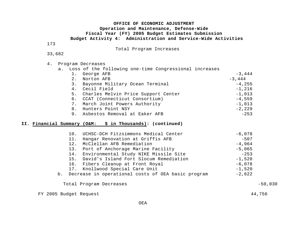173

Total Program Increases

#### 33,682

#### 4. Program Decreases

a. Loss of the following one-time Congressional increases

| 1. | George AFB                             | $-3,444$  |
|----|----------------------------------------|-----------|
| 2. | Norton AFB                             | $-3,444$  |
| 3. | Bayonne Military Ocean Terminal        | $-4,255$  |
| 4. | Cecil Field                            | $-1,216$  |
|    | 5. Charles Melvin Price Support Center | $-1,013$  |
|    | 6. CCAT (Connecticut Consortium)       | $-4,559$  |
|    | 7. March Joint Powers Authority        | $-1$ ,013 |
| 8. | Hunters Point NSY                      | $-2,229$  |
| 9. | Asbestos Removal at Eaker AFB          | $-253$    |

#### **II. Financial Summary (O&M: \$ in Thousands): (continued)**

| 10. UCHSC-DCH Fitzsimmons Medical Center              | $-6,078$ |
|-------------------------------------------------------|----------|
| Hangar Renovation at Griffis AFB<br>11.               | $-507$   |
| McClellan AFB Remediation<br>12.                      | $-4,964$ |
| 13. Port of Anchorage Marine Facility                 | $-5,065$ |
| 14. Environmental Study NIKE Missile Site             | $-253$   |
| 15. David's Island Fort Slocum Remediation            | $-1,520$ |
| 16. Fibers Cleanup at Front Royal                     | $-6,078$ |
| 17. Knollwood Special Care Unit                       | $-1,520$ |
| b. Decrease in operational costs of OEA basic program | $-2,622$ |
|                                                       |          |

#### Total Program Decreases -50,030

FY 2005 Budget Request 44,756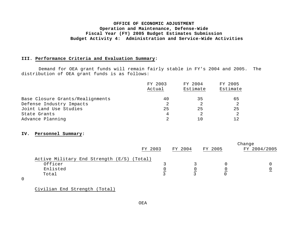#### **III. Performance Criteria and Evaluation Summary:**

Demand for OEA grant funds will remain fairly stable in FY's 2004 and 2005. The distribution of OEA grant funds is as follows:

|                                  | FY 2003 | FY 2004  | FY 2005  |  |  |
|----------------------------------|---------|----------|----------|--|--|
|                                  | Actual  | Estimate | Estimate |  |  |
| Base Closure Grants/Realignments | 40      | 35       | 65       |  |  |
| Defense Industry Impacts         |         |          |          |  |  |
| Joint Land Use Studies           | 25      | 25       | 25       |  |  |
| State Grants                     |         |          |          |  |  |
| Advance Planning                 |         | 10       |          |  |  |

#### **IV. Personnel Summary:**

|                                            |         |         |         | Change       |
|--------------------------------------------|---------|---------|---------|--------------|
|                                            | FY 2003 | FY 2004 | FY 2005 | FY 2004/2005 |
| Active Military End Strength (E/S) (Total) |         |         |         |              |
| Officer                                    |         |         |         |              |
| Enlisted                                   |         |         |         |              |
| Total                                      |         |         |         |              |

0

Civilian End Strength (Total)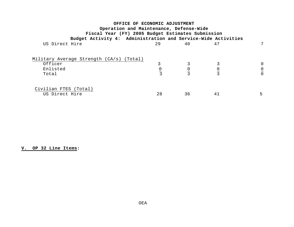| OFFICE OF ECONOMIC ADJUSTMENT                                                                |    |    |    |                |
|----------------------------------------------------------------------------------------------|----|----|----|----------------|
| Operation and Maintenance, Defense-Wide<br>Fiscal Year (FY) 2005 Budget Estimates Submission |    |    |    |                |
| Budget Activity 4: Administration and Service-Wide Activities                                |    |    |    |                |
| US Direct Hire                                                                               | 29 | 40 | 47 |                |
| Military Average Strength (CA/s) (Total)                                                     |    |    |    |                |
| Officer                                                                                      |    |    |    |                |
| Enlisted                                                                                     |    |    |    | $\overline{0}$ |
| Total                                                                                        |    |    |    | $\Omega$       |
|                                                                                              |    |    |    |                |
| Civilian FTES (Total)<br>US Direct Hire                                                      | 28 | 36 | 41 |                |

# **V. OP 32 Line Items:**